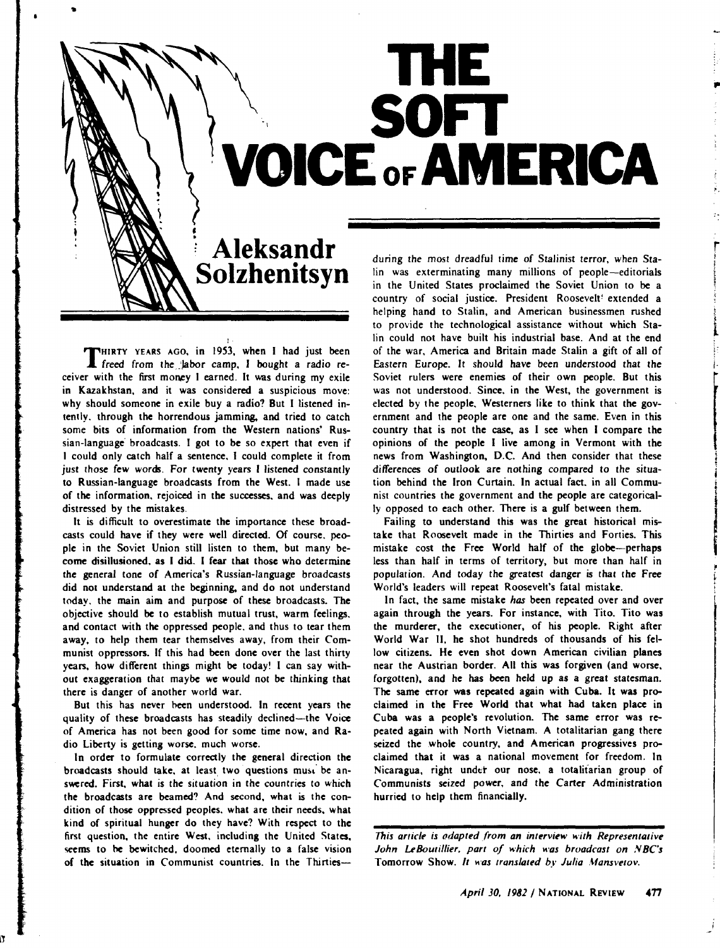## **THE son 'VOICE OF AMERICA**

## **Aleksandr Solzhenitsyn**

NHIRTY YEARS AGO, in 1953, when I had just been THIRTY YEARS AGO, in 1953, when I had just been freed from the 'labor camp, I bought a radio receiver with the first money I earned. It was during my exile in Kazakhstan, and it was considered a suspicious move: why should someone in exile buy a radio? But I listened intently. through the horrendous jamming. and tried to catch some bits of information from the Western nations' Russian-language· broadcasts. I got to be so expert that even if I could only catch half a sentence. I could complete it from just those few words. For twenty years I listened constantly to Russian-language broadcasts from the West. I made use of the information. rejoiced in the successes. and was deeply distressed by the mistakes.

It is difficult to overestimate the importance these broadcasts could have if they were well directed. Of course. people in the Soviet Union still listen to them, but many become disillusioned. as I did. I fear that those who determine the general tone of America's Russian-language broadcasts did not understand at the beginning. and do not understand today. the main aim and purpose of these broadcasts. The objective should be to establish mutual trust, warm feelings. and contact with the oppressed people. and thus to tear them away, to help them tear themselves away, from their Communist oppressors. If this had been done over the last thirty years, how different things might be today! I can say without exaggeration that maybe we would not be thinking that there is danger of another world war.

But this has never been understood. In recent years the quality of these broadcasts has steadily declined-the Voice of America has not been good for some time now, and Radio Liberty is getting worse. much worse.

In order to formulate correctly the general direction the broadcasts should take, at least two questions must be answered. First, what is the situation in the countries to which the broadcasts are beamed? And second, what is the condition of those oppressed peoples. what are their needs, what kind of spiritual hunger do they have? With respect to the first question, the entire West. including the United States, seems to he bewitched. doomed eternally to a false vision of the situation in Communist countries. In the Thirties-

l!

during the most dreadful time of Stalinist terror, when Stalin was exterminating many millions of people-editorials in the United States proclaimed the Soviet Union to be a country of social justice. President Roosevelt! extended a helping hand to Stalin, and American businessmen rushed to provide the technological assistance without which Stalin could not have built his industrial base. And at the end of the war, America and Britain made Stalin a gift of all of Eastern Europe. *lt* should have been understood that the Soviet rulers were enemies of their own people. But this was not understood. Since. in the West, the government is elected by the people. Westerners like to think that the government and the people are one and the same. Even in this country that is not the case, as I sec when I compare the opinions of the people I live among in Vermont with the news from Washington, D.C. And then consider that these differences of outlook are nothing compared to the situation behind the Iron Curtain. In actual fact. in all Communist countries the government and the people are categorically opposed to each other. There is a gulf between them.

'·

r

examine and excess ~ L

1-

Failing to understand this was the great historical mistake that Roosevelt made in the Thirties and Forties. This mistake cost the Free World half of the globe-perhaps less than half in terms of territory, but more than half in population. And today the greatest danger is that the Free World's leaders will repeat Roosevelt's fatal mistake.

In fact, the same mistake *has* been repeated over and over again through the years. For instance, with Tito. Tito was the murderer, the executioner, of his people. Right after World War II, he shot hundreds of thousands of his fellow citizens. He even shot down American civilian planes near the Austrian border. All this was forgiven (and worse. forgotten), and he has been held up as a great statesman. The same error was repeated again with Cuba. It was proclaimed in the Free World that what had taken place in Cuba was a people's revolution. The same error was repeated again with North Vietnam. A totalitarian gang there seized the whole country, and American progressives proclaimed that it was a national movement for freedom. In Nicaragua, right under our nose, a totalitarian group of Communists seized power, and the Carter Administration hurried to help them financially.

*This article is odapted from an interview with Representative*  John LeBoutillier, part of which was broadcast on NBC's Tomorrow Show. *It was translated by Julia Mansvetov*.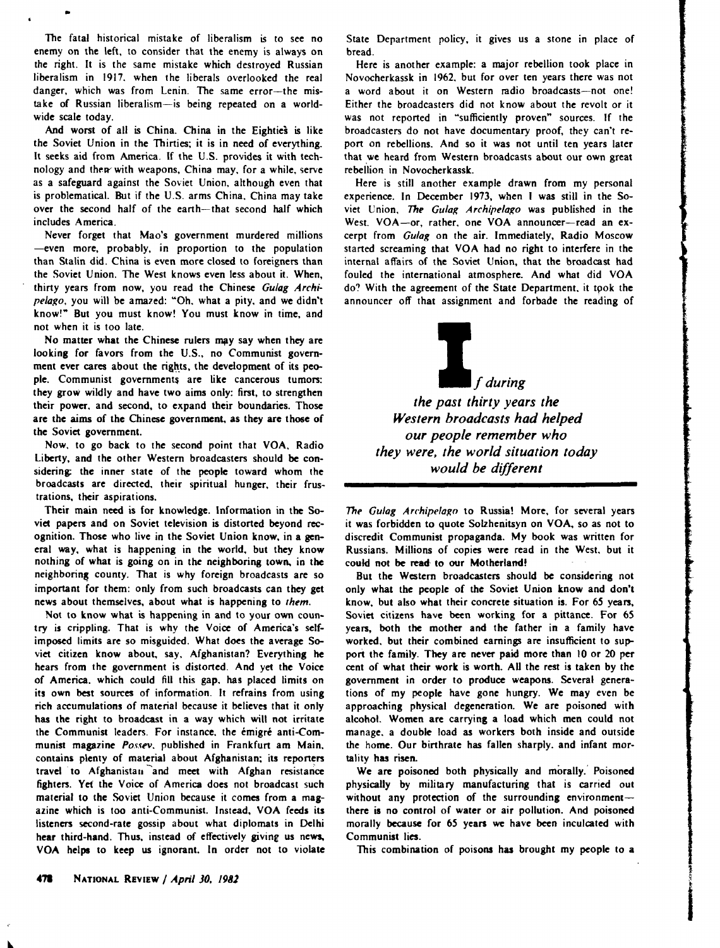The fatal historical mistake of liberalism is to see no enemy on the left, to consider that the enemy is always on the right. It is the same mistake which destroyed Russian liberalism in 1917. when the liberals overlooked the real danger, which was from Lenin. The same error-the mistake of Russian liberalism-is being repeated on a worldwide scale today.

..

And worst of all is China. China in the Eighties is like the Soviet Union in the Thirties; it is in need of everything. It seeks aid from America. If the U.S. provides it with technology and their with weapons, China may, for a while, serve as a safeguard against the Soviet Union, although even that is problematical. But if the U.S. arms China. China may take over the second half of the earth-that second half which includes America.

Never forget that Mao's government murdered millions -even more, probably, in proportion to the population than Stalin did. China is even more closed to foreigners than the Soviet Union. The West knows even less about it. When, thirty years from now, you read the Chinese *Gulag Archipelago*, you will be amazed: "Oh, what a pity, and we didn't know!" But you must know! You must know in time, and not when it is too late.

No matter what the Chinese rulers may say when they are looking for favors from the U.S., no Communist government ever cares about the rights, the development of its people. Communist governments are like cancerous tumors: they grow wildly and have two aims only: first, to strengthen their power. and second, to expand their boundaries. Those are the aims of the Chinese government, as they arc those of the Soviet government.

Now, to go back to the second point that VOA. Radio Liberty, and the other Western broadcasters should be considering: the inner state of the people toward whom the broadcasts are directed, their spiritual hunger. their frustrations. their aspirations.

Their main need is for knowledge. Information in the Soviet papers and on Soviet television is distorted beyond recognition. Those who live in the Soviet Union know, in a general way, what is happening in the world, but they know nothing of what is going on in the neighboring town. in the neighboring county. That is why foreign broadcasts are so important for them: only from such broadcasts can they get news about themselves, about what is happening to *them.* 

Not to know what is happening in and to your own country is crippling. That is why the Voice of America's selfimposed limits are so misguided. What does the average Soviet citizen know about, say. Afghanistan? Everything he hears from the government is distorted. And yet the Voice of America. which could fill this gap. has placed limits on its own best sources of information. It refrains from using rich accumulations of material because it believes that it only has the right to broadcast in a way which will not irritate the Communist leaders. For instance, the émigré anti-Communist magazine Possev, published in Frankfurt am Main, contains plenty of material about Afghanistan: its reporters travel to Afghanistan and meet with Afghan resistance fighters. Yet the Voice of America does not broadcast such material to the Soviet Union because it comes from a magazine which is too anti-Communist. Instead, VOA feeds its listeners second-rate gossip about what diplomats in Delhi hear third-hand. Thus, instead of effectively giving us news, VOA helps to keep us ignorant. In order not to violate State Department policy, it gives us a stone in place of bread.

Here is another example: a major rebellion took place in Novocherkassk in 1962. but for over ten years there was not a word about it on Western radio broadcasts-not one! Either the broadcasters did not know about the revolt or it was not reported in "sufficiently proven" sources. If the broadcasters do not have documentary proof, they can't report on rebellions. And so it was not until ten years later that we heard from Western broadcasts about our own great rebellion in Novocherkassk.

Here is still another example drawn from my personal experience. In December 1973, when I was still in the Soviet Union, *The Gulag Archipelago* was published in the West. VOA-or, rather, one VOA announcer-read an excerpt from *Gulag* on the air. Immediately, Radio Moscow started screaming that VOA had no right to interfere in the internal affairs of the Soviet Union, that the broadcast had fouled the international atmosphere. And what did VOA do? With the agreement of the State Department, it took the announcer off that assignment and forbade the reading of

> If *during the past thirty years the Western broadcasts had helped our people remember who they were, the world situation today would be different*

The Gulag Archipelago to Russia! More, for several years it was forbidden to quote Solzhenitsyn on VOA, so as not to discredit Communist propaganda. My book was written for Russians. Millions of copies were read in the West. but it could not be read to our Motherland!

But the Western broadcasters should be considering not only what the people of the Soviet Union know and don't know, but also what their concrete situation is. For 65 years, Soviet citizens have been working for a pittance. For 65 years, both the mother and the father in a family have worked. but their combined earnings are insufficient to support the family. They are never paid more than 10 or 20 per cent of what their work is worth. AU the rest is taken by the government in order to produce weapons. Several generations of my people have gone hungry. We may even be approaching physical degeneration. We are poisoned with alcohol. Women are carrying a load which men could not manage. a double load as workers both inside and outside the home. Our birthrate has fallen sharply. and infant mortality has risen.

We are poisoned both physically and morally.' Poisoned physically by military manufacturing that is carried out without any protection of the surrounding environmentthere is no control of water or air pollution. And poisoned morally because for 65 years we have been inculcated with Communist lies.

This combination of poisons has brought my people to a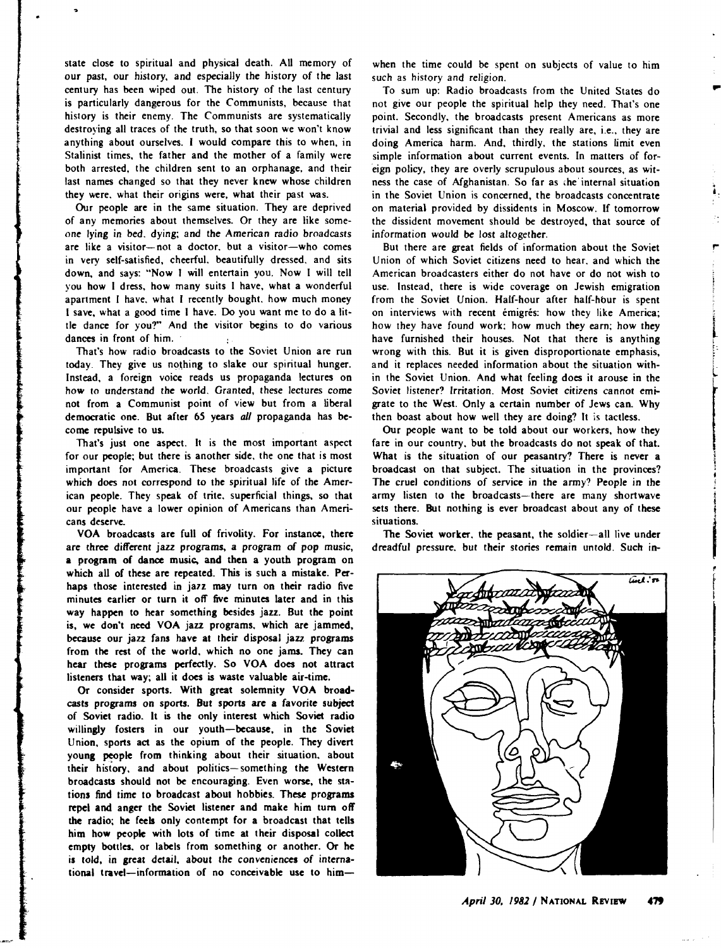state close to spiritual and physical death. All memory of our past, our history, and especially the history of the last century has been wiped out. The history of the last century is particularly dangerous for the Communists, because that history is their enemy. The Communists are systematically destroying all traces of the truth, so that soon we won't know anything about ourselves. I would compare this to when, in Stalinist times, the father and the mother of a family were both arrested, the children sent to an orphanage, and their last names changed so that they never knew whose children they were. what their origins were, what their past was.

line and the company of the company of the company of the company of the company of the company of the company<br>Line of the company of the company of the company of the company of the company of the company of the company <br>

Our people are in the same situation. They are deprived of any memories about themselves. Or they are like someone lying in bed. dying; and the American radio broadcasts are like a visitor-not a doctor, but a visitor-who comes in very self-satisfied, cheerful. beautifully dressed. and sits down, and says: "Now I will entertain you. Now I will tell you how I dress, how many suits I have, what a wonderful apartment I have. what I recently bought. how much money I save, what a good time I have. Do you want me to do a little dance for you?" And the visitor begins to do various dances in front of him.

That's how radio broadcasts to the Soviet Union are run today. They give us nothing to slake our spiritual hunger. Instead, a foreign voice reads us propaganda lectures on how to understand the world. Granted, these lectures come not from a Communist point of view but from a liberal democratic one. But after 65 years *all* propaganda has become repulsive to us.

That's just one aspect. It is the most important aspect for our people: but there is another side. the one that is most important for America. These broadcasts give a picture which does not correspond to the spiritual life of the American people. They speak of trite. superficial things, so that our people have a lower opinion of Americans than Americans deserve.

VOA broadcasts are full of frivolity. For instance, there are three different jazz programs, a program of pop music, a program of dance music. and then a youth program on which all of these are repeated. This is such a mistake. Perhaps those interested in jazz may turn on their radio five minutes earlier or turn it off five minutes later and in this way happen to hear something besides jazz. But the point is, we don't need VOA jazz programs. which are jammed, because our jazz fans have at their disposal jazz programs from the rest of the world. which no one jams. They can hear these programs perfectly. So VOA does not attract listeners that way; all it does is waste valuable air-time.

Or consider sports. With great solemnity VOA broadcasts programs on sports. But sports are a favorite subject of Soviet radio. It is the only interest which Soviet radio willingly fosters in our youth-because, in the Soviet Union, sports act as the opium of the people. They divert young people from thinking about their situation, about their history, and about politics-something the Western broadcasts should not be encouraging. Even worse, the stations find time to broadcast about hobbies. These programs repel and anger the Soviet listener and make him tum off' the radio; he feels only contempt for a broadcast that tells him how people with lots of time at their disposal collect empty bottles. or labels from something or another. Or he is told, in great detail, about the conveniences of international travel-information of no conceivable use to him-

when the time could be spent on subjects of value to him such as history and religion.

..

• i.

,...

inggan. l ' ,. ; l

**In the community of the community** 

To sum up: Radio broadcasts from the United States do not give our people the spiritual help they need. That's one point. Secondly. the broadcasts present Americans as more trivial and less significant than they really are, i.e., they are doing America harm. And, thirdly, the stations limit even simple information about current events. In matters of for- ·eign policy, they are overly scrupulous about sources, as witness the case of Afghanistan. So far as •he' internal situation in the Soviet Union is concerned, the broadcasts concentrate on material provided by dissidents in Moscow. If tomorrow the dissident movement should be destroyed, that source of information would be lost altogether.

But there are great fields of information about the Soviet Union of which Soviet citizens need to hear. and which the American broadcasters either do not have or do not wish to use. Instead, there is wide coverage on Jewish emigration from the Soviet Union. Half-hour after half-hour is spent on interviews with recent emigres: how they like America; how they have found work: how much they earn; how they have furnished their houses. Not that there is anything wrong with this. But it is given disproportionate emphasis, and it replaces needed information about the situation within the Soviet Union. And what feeling does it arouse in the Soviet listener? Irritation. Most Soviet citizens cannot emigrate to the West. Only a certain number of Jews can. Why then boast about how well they are doing? It is tactless.

Our people want to be told about our workers, how they fare in our country. but the broadcasts do not speak of that. What is the situation of our peasantry? There is never a broadcast on that subject. The situation in the provinces? The cruel conditions of service in the army? People in the army listen to the broadcasts-there are many shortwave sets there. But nothing is ever broadcast about any of these situations.

The Soviet worker, the peasant, the soldier-all live under dreadful pressure. but their stories remain untold. Such in-

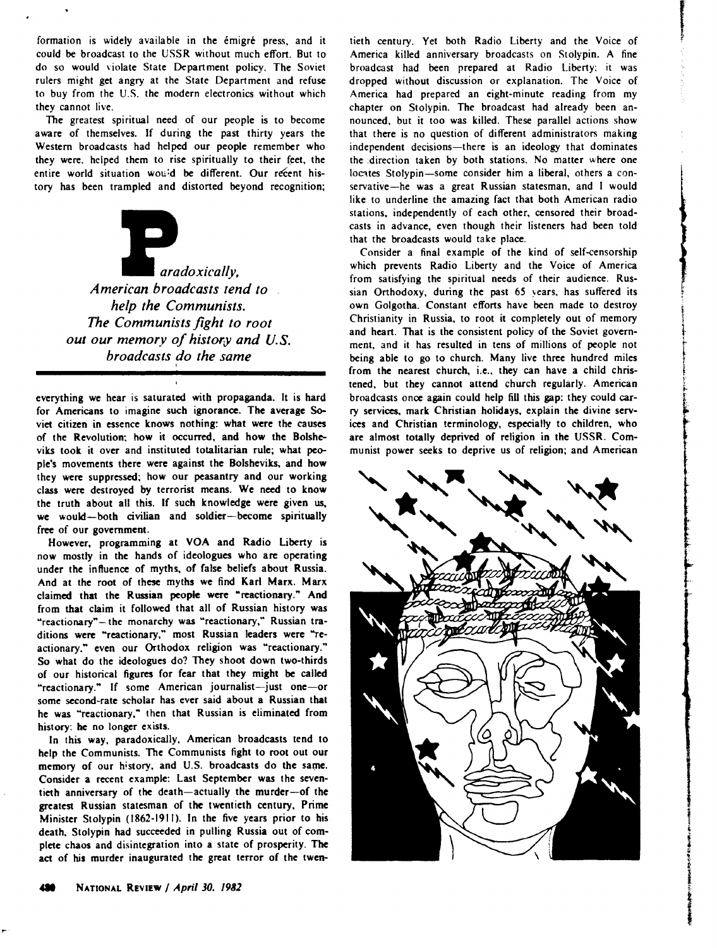formation is widely available in the émigré press, and it could be broadcast to the USSR without much effort. But to do so would violate State Department policy. The Soviet rulers might get angry at the State Department and refuse to buy from the U.S. the modern electronics without which they cannot live.

The greatest spiritual need of our people is to become aware of themselves. If during the past thirty years the Western broadcasts had helped our people remember who they were, helped them to rise spiritually to their feet, the entire world situation wou:d be different. Our refent history has been trampled and distorted beyond recognition;



everything we hear is saturated with propaganda. It is hard for Americans to imagine such ignorance. The average Soviet citizen in essence knows nothing: what were the causes of the Revolution: how it occurred, and how the Bolsheviks took it over and instituted totalitarian rule; what people's movements there were against the Bolsheviks, and how they were suppressed; how our peasantry and our working class were destroyed by terrorist means. We need to know the truth about all this. If such knowledge were given us, we would-both civilian and soldier-become spiritually free of our government.

However, programming at VOA and Radio Liberty is now mostly in the hands of ideologues who are operating under the influence of myths, of false beliefs about Russia. And at the root of these myths we find Karl Marx. Marx claimed that the Russian people were "reactionary." And from that claim it followed that all of Russian history was "reactionary"- the monarchy was "reactionary," Russian traditions were "reactionary," most Russian leaders were "reactionary," even our Orthodox religion was "reactionary." So what do the ideologues do? They shoot down two-thirds of our historical figures for fear that they might be called "reactionary." If some American journalist-just one-or some second-rate scholar has ever said about a Russian that he was "reactionary," then that Russian is eliminated from history: he no longer exists.

In this way, paradoxically, American broadcasts tend to help the Communists. The Communists fight to root out our memory of our history, and U.S. broadcasts do the same. Consider a recent example: Last September was the seventieth anniversary of the death-actually the murder-of the greatest Russian statesman of the twentieth century. Prime Minister Stolypin (1862-1911). In the five years prior to his death. Stolypin had succeeded in pulling Russia out of complete chaos and disintegration into a state of prosperity. The act of his murder inaugurated the great terror of the twentieth century. Yet both Radio Liberty and the Voice of America killed anniversary broadcasts on Stolypin. A fine broadcast had been prepared at Radio Liberty: it was dropped without discussion or explanation. The Voice of America had prepared an eight-minute reading from my chapter on Stolypin. The broadcast had already been announced. but it too was killed. These parallel actions show that there is no question of different administrators making independent decisions-there is an ideology that dominates the :direction taken by both stations. No matter where one locates Stolypin-some consider him a liberal, others a conservative-he was a great Russian statesman, and I would like to underline the amazing fact that both American radio stations, independently of each other, censored their broadcasts in advance, even though their listeners had been told that the broadcasts would take place.

(Constitution)<br>(Constitution) ţ.

F i la aldera<br>Literatura

In the complete of the complete of the complete of the complete of the complete of the complete of the complete of the complete of the complete of the complete of the complete of the complete of the complete of the complet

i

•· l

the company of

a and the second company of the second company of the second company of the second company of the second compa<br>In addition of the second company of the second company of the second company of the second company of the seco

مان ناه انداز که از این نام استفاده برای ماند و باشد.<br>ماند از این نام استفاده برای ماند و باشد و باشد و باشد و باشد و باشد و باشد و باشد و باشد و باشد و باشد و باشد<br>باشد و باشد و باشد و باشد و باشد و باشد و باشد و باشد و

فی میں اس کا مقام ہوتا ہے۔<br>مقام ہونے کا مقام ہوتا ہے کہ اس کا مقام ہوتا ہے کہ اس کا مقام ہوتا ہے جس کا کہنا ہے

Consider a final example of the kind of self-censorship which prevents Radio Liberty and the Voice of America from satisfying the spiritual needs of their audience. Russian Orthodoxy, during the past 65 years. has suffered its own Golgotha. Constant efforts have been made to destroy Christianity in Russia, to root it completely out of memory and heart. That is the consistent policy of the Soviet government, and it has resulted in tens of millions of people not being able to go to church. Many live three hundred miles from the nearest church, i.e., they can have a child christened, but they cannot attend church regularly. American broadcasts once again could help fill this gap: they could carry services, mark Christian holidays. explain the divine services and Christian terminology, especially to children, who are almost totally deprived of religion in the USSR. Communist power seeks to deprive us of religion; and American

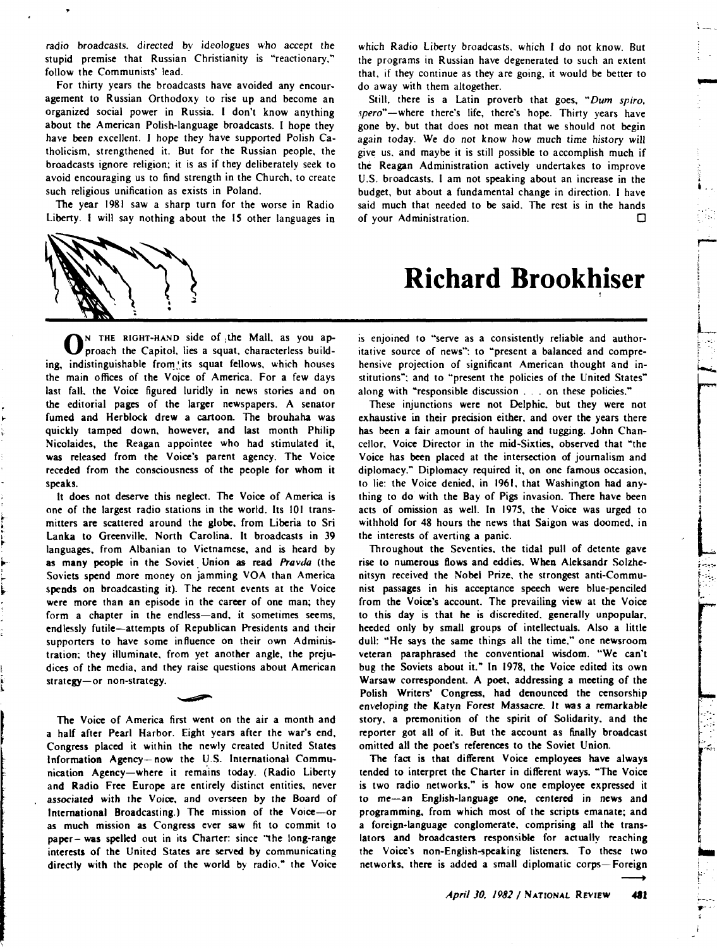radio broadcasts. directed by ideologues who accept the stupid premise that Russian Christianity is "reactionary," follow the Communists' lead.

For thirty years the broadcasts have avoided any encouragement to Russian Orthodoxy to rise up and become an organized social power in Russia. I don't know anything about the American Polish-language broadcasts. I hope they have been excellent. I hope they have supported Polish Catholicism, strengthened it. But for the Russian people, the broadcasts ignore religion; it is as if they deliberately seek to avoid encouraging us to find strength in the Church, to create such religious unification as exists in Poland.

The year 1981 saw a sharp turn for the worse in Radio Liberty. I will say nothing about the 15 other languages in



ON THE RIGHT-HAND side of the Mall, as you approach the Capitol, lies a squat, characterless building, indistinguishable from its squat fellows, which houses the main offices of the Voice of America. For a few days last fall. the Voice figured luridly in news stories and on the editorial pages of the larger newspapers. A senator fumed and Herblock drew a cartoon. The brouhaha was quickly tamped down, however, and last month Philip Nicolaides, the Reagan appointee who had stimulated it, was released from the Voice's parent agency. The Voice receded from the consciousness of the people for whom it speaks.

It does not deserve this neglect. The Voice of America is one of the largest radio stations in the world. Its 101 transmitters are scattered around the globe, from liberia to Sri lanka to Greenville. North Carolina. It broadcasts in 39 languages, from Albanian to Vietnamese, and is heard by as many people in the Soviet Union as read Pravda (the Soviets spend more money on jamming VOA than America spends on broadcasting it). The recent events at the Voice were more than an episode in the career of one man; they form a chapter in the endless-and, it sometimes seems, endlessly futile-attempts of Republican Presidents and their supporters to have some influence on their own Administration: they illuminate. from yet another angle, the prejudices of the media, and they raise questions about American strategy-or non-strategy.

The Voice of America first went on the air a month and a half after Pearl Harbor. Eight years after the war's end, Congress placed it within the newly created United States Information Agency- now the U.S. International Communication Agency-where it remains today. (Radio liberty and Radio Free Europe are entirely distinct entities, never associated with the Voice, and overseen by the Board of International Broadcasting.) The mission of the Voice-or as much mission as Congress ever saw fit to commit to paper- was spelled out in its Charter: since "the long-range interests of the United States are served by communicating directly with the people of the world by radio." the Voice

which Radio Liberty broadcasts. which I do not know. But the programs in Russian have degenerated to such an extent that, if they continue as they are going, it would be better to do away with them altogether.

....

' ...

-.·'·.

 $\overline{\phantom{a}}$ 

j

**Little Communication** 

**International Control** ...

......

Still, there is a Latin proverb that goes, *"Dum spiro,*  spero"-where there's life, there's hope. Thirty years have gone by, but that does not mean that we should not begin again today. We do not know how much time history will give us. and maybe it is still possible to accomplish much if the Reagan Administration actively undertakes to improve U.S. broadcasts. I am not speaking about an increase in the budget, but about a fundamental change in direction. I have said much that needed to be said. The rest is in the hands of your Administration.

## **Richard Brookhiser**

is enjoined to "serve as a consistently reliable and authoritative source of news": to "present a balanced and comprehensive projection of significant American thought and institutions": and to "present the policies of the United States" along with "responsible discussion ... on these policies."

These injunctions were not Delphic, but they were not exhaustive in their precision either. and over the years there has been a fair amount of hauling and tugging. John Chancellor, Voice Director in the mid-Sixties, observed that "the Voice has been placed at the intersection of journalism and diplomacy." Diplomacy required it, on one famous occasion, to lie: the Voice denied, in 1961, that Washington had anything to do with the Bay of Pigs invasion. There have been acts of omission as well. In 1975, the Voice was urged to withhold for 48 hours the news that Saigon was doomed. in the interests of averting a panic.

Throughout the Seventies, the tidal pull of detente gave rise to numerous flows and eddies. When Aleksandr Solzhenitsyn received the Nobel Prize. the strongest anti-Communist passages in his acceptance speech were blue-penciled from the Voice's account. The prevailing view at the Voice to this day is that he is discredited. generally unpopular, heeded only by small groups of intellectuals. Also a little dull: "He says the same things all the time." one newsroom veteran paraphrased the conventional wisdom. "We can't bug the Soviets about it." In 1978, the Voice edited its own Warsaw correspondent. A poet, addressing a meeting of the Polish Writers' Congress, had denounced the censorship enveloping the Katyn Forest Massacre. It was a remarkable story. a premonition of the spirit of Solidarity. and the reporter got all of it. But the account as finally broadcast omitted all the poet's references to the Soviet Union.

The fact is that different Voice employees have always tended to interpret the Charter in different ways. "The Voice is two radio networks," is how one employee expressed it to me-an English-language one, centered in news and programming. from which most of the scripts emanate; and a foreign-language conglomerate, comprising all the translators and broadcasters responsible for actually reaching the Voice's non-English-speaking listeners. To these two networks, there is added a small diplomatic corps—Foreign  $\longrightarrow$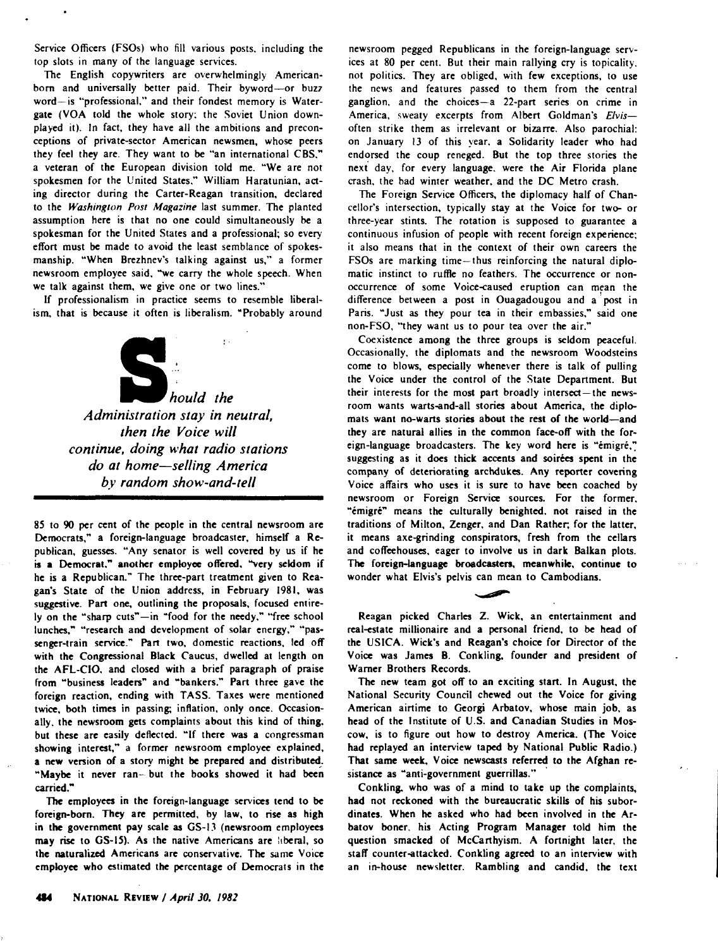Service Officers (FSOs) who fill various posts. including the top slots in many of the language services.

The English copywriters are overwhelmingly Americanborn and universally better paid. Their byword-or buzz word-is "professional," and their fondest memory is Watergate (VOA told the whole story: the Soviet Union downplayed it). In fact. they have all the ambitions and preconceptions of private-sector American newsmen, whose peers they feel they are. They want to be "an international CBS." a veteran of the European division told me. "We are not spokesmen for the United States." William Haratunian, acting director during the Carter-Reagan transition, declared to the *Washington Post Magazine* last summer. The planted assumption here is that no one could simultaneously be a spokesman for the United States and a professional; so every effort must be made to avoid the least semblance of spokesmanship. "When Brezhnev's talking against us," a former newsroom employee said. "we carry the whole speech. When we talk against them, we give one or two lines."

If professionalism in practice seems to resemble liberalism, that is because it often is liberalism. "Probably around



*Administration stay in neutral, then the Voice will continue, doing what radio stations do at home-selling America by random show-and-tell* 

85 to 90 per cent of the people in the central newsroom are Democrats," a foreign-language broadcaster, himself a Republican, guesses. "Any senator is well covered by us if he is a Democrat," another employee offered, "very seldom if he is a Republican." The three-part treatment given to Reagan's State of the Union address, in February 1981, was suggestive. Part one, outlining the proposals, focused entirely on the "sharp cuts"-in "food for the needy," "free school lunches," "research and development of solar energy," "passenger-train service." Part two, domestic reactions. led off with the Congressional Black Caucus, dwelled at length on the AFL-CIO. and closed with a brief paragraph of praise from "business leaders" and "bankers." Part three gave the foreign reaction, ending with TASS. Taxes were mentioned twice, both times in passing; inflation, only once. Occasionally. the newsroom gets complaints about this kind of thing. but these are easily deflected. "If there was a congressman showing interest," a former newsroom employee explained, a new version of a story might be prepared and distributed\_. "Maybe it never ran- but the books showed it had been carried."

The employees in the foreign-language services tend to be foreign-born. They are permitted, by law, to rise as high in the government pay scale as GS-13 (newsroom employees may rise to GS-15). As the native Americans are liberal, so the naturalized Americans are conservative. The same Voice employee who estimated the percentage of Democrats in the newsroom pegged Republicans in the foreign-language services at 80 per cent. But their main rallying cry is topicality. not politics. They are obliged, with few exceptions, to use the news and features passed to them from the central ganglion. and the choices-a 22-part series on crime in America, sweaty excerpts from Albert Goldman's *£/vis*often strike them as irrelevant or bizarre. Also parochial: on January 13 of this year. a Solidarity leader who had endorsed the coup reneged. But the top three stories the next day, for every language. were the Air Florida plane crash, the bad winter weather. and the DC Metro crash.

The Foreign Service Officers, the diplomacy half of Chancellor's intersection, typically stay at the Voice for two- or three-year stints. The rotation is supposed to guarantee a continuous infusion of people with recent foreign experience; it also means that in the context of their own careers the FSOs are marking time-thus reinforcing the natural diplomatic instinct to ruffle no feathers. The occurrence or nonoccurrence of some Voice-caused eruption can mean the difference between a post in Ouagadougou and a post in Paris. "Just as they pour tea in their embassies," said one non-FSO. "they want us to pour tea over the air."

Coexistence among the three groups is seldom peaceful. Occasionally, the diplomats and the newsroom Woodsteins come to blows, especially whenever there is talk of pulling the Voice under the control of the State Department. But their interests for the most part broadly intersect- the newsroom wants warts-and-all stories about America, the diplomats want no-warts stories about the rest of the world-and they are natural allies in the common face-off with the foreign-language broadcasters. The key word here is "émigré," suggesting as it does thick accents and soires spent in the company of deteriorating archdukes. Any reporter covering Voice affairs who uses it is sure to have been coached by newsroom or Foreign Service sources. For the former. "émigré" means the culturally benighted, not raised in the traditions of Milton, Zenger. and Dan Rather; for the latter, it means axe-grinding conspirators, fresh from the cellars and coffeehouses, eager to involve us in dark Balkan plots. The foreign-language broadcasten, meanwhile, continue to wonder what Elvis's pelvis can mean to Cambodians.

Reagan picked Charles Z. Wick, an entertainment and real-estate millionaire and a personal friend, to be head of the USICA. Wick's and Reagan's choice for Director of the Voice was James B. Conkling. founder and president of Warner Brothers Records.

The new team got off to an exciting start. In August. the National Security Council chewed out the Voice for giving American airtime to Georgi Arbatov, whose main job, as head of the Institute of U.S. and Canadian Studies in Moscow, is to figure out how to destroy America. (The Voice had replayed an interview taped by National Public Radio.) That same week, Voice newscasts referred to the Afghan resistance as "anti-government guerrillas."

Conkling. who was of a mind to take up the complaints, had not reckoned with the bureaucratic skills of his subordinates. When he asked who had been involved in the Arbatov boner. his Acting Program Manager told him the question smacked of McCarthyism. A fortnight later, the staff counter-attacked. Conkling agreed to an interview with an in-house newsletter. Rambling and candid. the text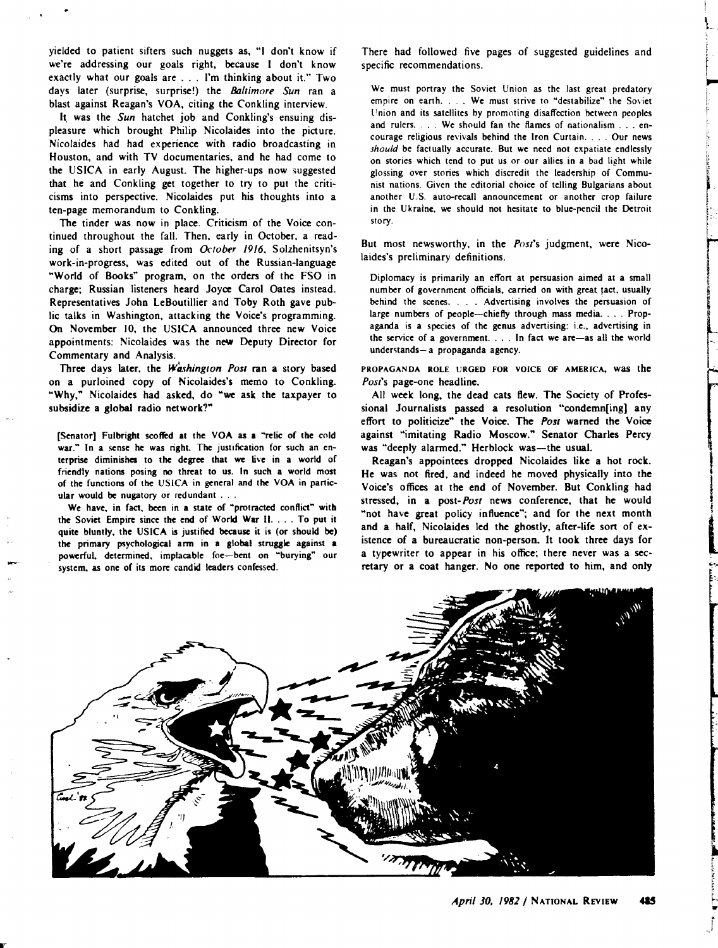yielded to patient sifters such nuggets as, "I don't know if we're addressing our goals right, because I don't know exactly what our goals are ... I'm thinking about it." Two days later (surprise, surprise!) the *Baltimore Sun* ran a blast against Reagan's VOA. citing the Conkling interview.

It was the Sun hatchet job and Conkling's ensuing displeasure which brought Philip Nicolaides into the picture. Nicolaides had had experience with radio broadcasting in Houston, and with TV documentaries. and he had come to the USICA in early August. The higher-ups now suggested that he and Conkling get together to try to put the criticisms into perspective. Nicolaides put his thoughts into a ten-page memorandum to Conkling.

The tinder was now in place. Criticism of the Voice continued throughout the fall. Then, early in October, a reading of a short passage from *October /9/6,* Solzhenitsyn's work-in-progress, was edited out of the Russian-language ~world of Books" program, on the orders of the FSO in charge; Russian listeners heard Joyce Carol Oates instead. Representatives John LeBoutillier and Toby Roth gave public talks in Washington, attacking the Voice's programming. On November 10, the USICA announced three new Voice appointments: Nicolaides was the new Deputy Director for Commentary and Analysis.

Three days later, the Washington Post ran a story based on a purloined copy of Nicolaides's memo to Conkling. "Why," Nicolaides had asked, do "we ask the taxpayer to subsidize a global radio network?"

[Senator] Fulbright scoffed at the VOA as a "relic of the cold war." In a sense he was right. The justification for such an enterprise diminishes to the degree that we live in a world of friendly nations posing no threat to us. In such a world most of the functions of the USICA in general and the VOA in panicular would be nugatory or redundant . . .

We have, in fact, been in a state of "protracted conflict" with the Soviet Empire since the end of World War II .... To put it quite bluntly, the USICA is justified because it is (or should be) the primary psychological arm in a global struggle against a powerful, determined, implacable foe-bent on "burying" our system. as one of its more candid leaders confessed.

There had followed five pages of suggested guidelines and specific recommendations.

 $\overline{\phantom{a}}$ ,\_

1<br>1<br>1<br>1

te admostrative

.. r .)

le de la propriété de la propriété de la propriété de la propriété de la propriété de la propriété de la propriété de la propriété de la propriété de la propriété de la propriété de la propriété de la propriété de la propr

We must portray the Soviet Union as the last great predatory empire on earth. . . We must strive to "destabilize" the Soviet l'nion and its satellites by promoting disaffection between peoples and rulers. . . . We should fan the flames of nationalism . . . encourage religious revivals behind the Iron Curtain .... Our news *should* be factually accurate. But we need not expatiate endlessly on stories which tend to put us or our allies in a bad light while glossing over stories which discredit the leadership of Communist nations. Given the editorial choice of telling Bulgarians about another U.S. auto-recall announcement or another crop failure in the Ukraine, we should not hesitate to blue-pencil the Detroit story.

But most newsworthy, in the *Post's* judgment, were Nicolaides's preliminary definitions.

Diplomacy is primarily an effort at persuasion aimed at a small number of government officials, carried on with great tact, usually behind the scenes. . . . Advertising involves the persuasion of large numbers of people-chiefly through mass media. . . . Propaganda is a species of the genus advertising: i.e., advertising in the service of a government. . . . In fact we are-as all the world understands- a propaganda agency.

PROPAGANDA ROLE URGED FOR VOICE OF AMERICA, was the *Post's* page-one headline.

All week long, the dead cats flew. The Society of Professional Journalists passed a resolution "condemn[ing] any effort to politicize" the Voice. The Post warned the Voice against "imitating Radio Moscow." Senator Charles Percy was "deeply alarmed." Herblock was-the usual.

Reagan's appointees dropped Nicolaides like a hot rock. He was not fired. and indeed he moved physically into the Voice's offices at the end of November. But Conkling had stressed, in a *post-Post* news conference, that he would "not have great policy influence"; and for the next month and a half, Nicolaides led the ghostly, after-life sort of existence of a bureaucratic non-person. It took three days for a typewriter to appear in his office; there never was a secretary or a coat hanger. No one reported to him. and only